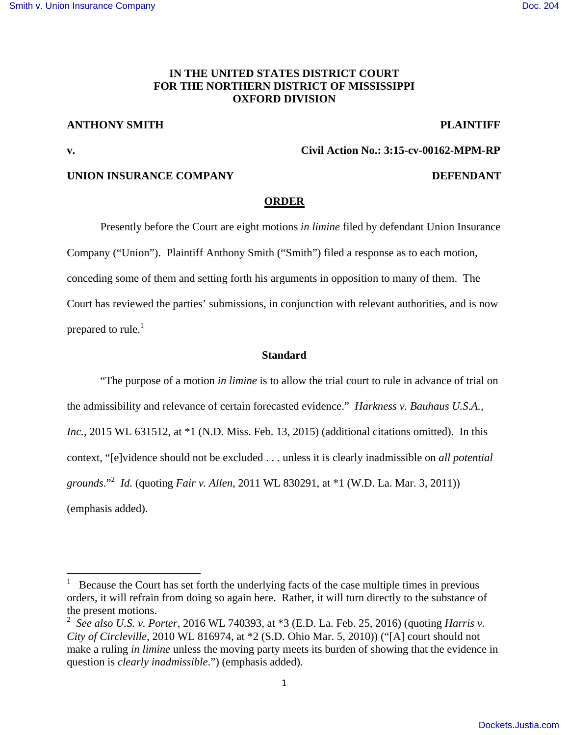# **IN THE UNITED STATES DISTRICT COURT FOR THE NORTHERN DISTRICT OF MISSISSIPPI OXFORD DIVISION**

# **ANTHONY SMITH PLAINTIFF**

**v. Civil Action No.: 3:15-cv-00162-MPM-RP** 

# **UNION INSURANCE COMPANY DEFENDANT**

#### **ORDER**

 Presently before the Court are eight motions *in limine* filed by defendant Union Insurance Company ("Union"). Plaintiff Anthony Smith ("Smith") filed a response as to each motion, conceding some of them and setting forth his arguments in opposition to many of them. The Court has reviewed the parties' submissions, in conjunction with relevant authorities, and is now prepared to rule. $<sup>1</sup>$ </sup>

#### **Standard**

"The purpose of a motion *in limine* is to allow the trial court to rule in advance of trial on the admissibility and relevance of certain forecasted evidence." *Harkness v. Bauhaus U.S.A., Inc.*, 2015 WL 631512, at \*1 (N.D. Miss. Feb. 13, 2015) (additional citations omitted). In this context, "[e]vidence should not be excluded . . . unless it is clearly inadmissible on *all potential grounds*."<sup>2</sup> *Id.* (quoting *Fair v. Allen*, 2011 WL 830291, at \*1 (W.D. La. Mar. 3, 2011)) (emphasis added).

<sup>1</sup> Because the Court has set forth the underlying facts of the case multiple times in previous orders, it will refrain from doing so again here. Rather, it will turn directly to the substance of the present motions.

<sup>2</sup> *See also U.S. v. Porter*, 2016 WL 740393, at \*3 (E.D. La. Feb. 25, 2016) (quoting *Harris v. City of Circleville*, 2010 WL 816974, at \*2 (S.D. Ohio Mar. 5, 2010)) ("[A] court should not make a ruling *in limine* unless the moving party meets its burden of showing that the evidence in question is *clearly inadmissible*.") (emphasis added).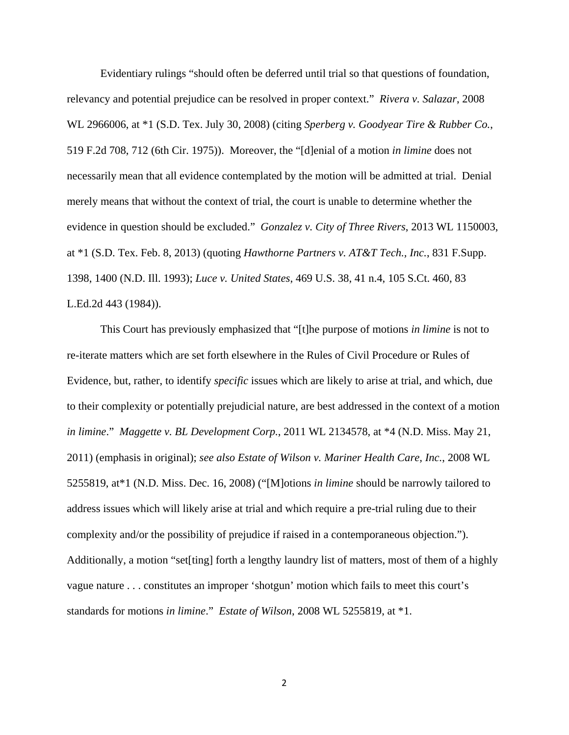Evidentiary rulings "should often be deferred until trial so that questions of foundation, relevancy and potential prejudice can be resolved in proper context." *Rivera v. Salazar*, 2008 WL 2966006, at \*1 (S.D. Tex. July 30, 2008) (citing *Sperberg v. Goodyear Tire & Rubber Co.*, 519 F.2d 708, 712 (6th Cir. 1975)). Moreover, the "[d]enial of a motion *in limine* does not necessarily mean that all evidence contemplated by the motion will be admitted at trial. Denial merely means that without the context of trial, the court is unable to determine whether the evidence in question should be excluded." *Gonzalez v. City of Three Rivers*, 2013 WL 1150003, at \*1 (S.D. Tex. Feb. 8, 2013) (quoting *Hawthorne Partners v. AT&T Tech., Inc.*, 831 F.Supp. 1398, 1400 (N.D. Ill. 1993); *Luce v. United States*, 469 U.S. 38, 41 n.4, 105 S.Ct. 460, 83 L.Ed.2d 443 (1984)).

This Court has previously emphasized that "[t]he purpose of motions *in limine* is not to re-iterate matters which are set forth elsewhere in the Rules of Civil Procedure or Rules of Evidence, but, rather, to identify *specific* issues which are likely to arise at trial, and which, due to their complexity or potentially prejudicial nature, are best addressed in the context of a motion *in limine*." *Maggette v. BL Development Corp.*, 2011 WL 2134578, at \*4 (N.D. Miss. May 21, 2011) (emphasis in original); *see also Estate of Wilson v. Mariner Health Care, Inc.*, 2008 WL 5255819, at\*1 (N.D. Miss. Dec. 16, 2008) ("[M]otions *in limine* should be narrowly tailored to address issues which will likely arise at trial and which require a pre-trial ruling due to their complexity and/or the possibility of prejudice if raised in a contemporaneous objection."). Additionally, a motion "set[ting] forth a lengthy laundry list of matters, most of them of a highly vague nature . . . constitutes an improper 'shotgun' motion which fails to meet this court's standards for motions *in limine*." *Estate of Wilson*, 2008 WL 5255819, at \*1.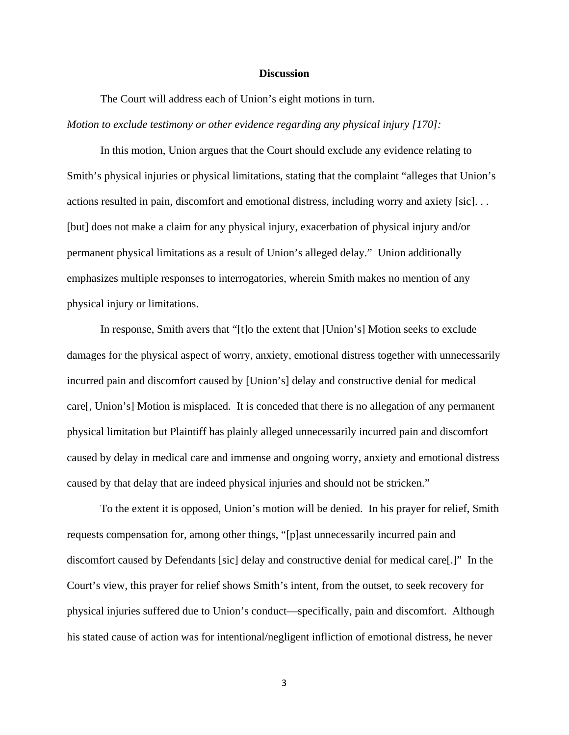#### **Discussion**

 The Court will address each of Union's eight motions in turn. *Motion to exclude testimony or other evidence regarding any physical injury [170]:* 

 In this motion, Union argues that the Court should exclude any evidence relating to Smith's physical injuries or physical limitations, stating that the complaint "alleges that Union's actions resulted in pain, discomfort and emotional distress, including worry and axiety [sic]. . . [but] does not make a claim for any physical injury, exacerbation of physical injury and/or permanent physical limitations as a result of Union's alleged delay." Union additionally emphasizes multiple responses to interrogatories, wherein Smith makes no mention of any physical injury or limitations.

 In response, Smith avers that "[t]o the extent that [Union's] Motion seeks to exclude damages for the physical aspect of worry, anxiety, emotional distress together with unnecessarily incurred pain and discomfort caused by [Union's] delay and constructive denial for medical care[, Union's] Motion is misplaced. It is conceded that there is no allegation of any permanent physical limitation but Plaintiff has plainly alleged unnecessarily incurred pain and discomfort caused by delay in medical care and immense and ongoing worry, anxiety and emotional distress caused by that delay that are indeed physical injuries and should not be stricken."

 To the extent it is opposed, Union's motion will be denied. In his prayer for relief, Smith requests compensation for, among other things, "[p]ast unnecessarily incurred pain and discomfort caused by Defendants [sic] delay and constructive denial for medical care[.]" In the Court's view, this prayer for relief shows Smith's intent, from the outset, to seek recovery for physical injuries suffered due to Union's conduct—specifically, pain and discomfort. Although his stated cause of action was for intentional/negligent infliction of emotional distress, he never

3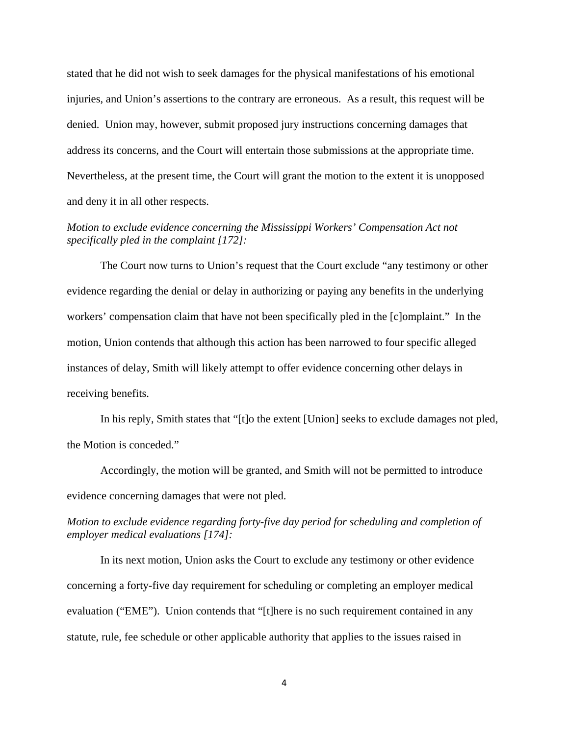stated that he did not wish to seek damages for the physical manifestations of his emotional injuries, and Union's assertions to the contrary are erroneous. As a result, this request will be denied. Union may, however, submit proposed jury instructions concerning damages that address its concerns, and the Court will entertain those submissions at the appropriate time. Nevertheless, at the present time, the Court will grant the motion to the extent it is unopposed and deny it in all other respects.

# *Motion to exclude evidence concerning the Mississippi Workers' Compensation Act not specifically pled in the complaint [172]:*

 The Court now turns to Union's request that the Court exclude "any testimony or other evidence regarding the denial or delay in authorizing or paying any benefits in the underlying workers' compensation claim that have not been specifically pled in the [c]omplaint." In the motion, Union contends that although this action has been narrowed to four specific alleged instances of delay, Smith will likely attempt to offer evidence concerning other delays in receiving benefits.

 In his reply, Smith states that "[t]o the extent [Union] seeks to exclude damages not pled, the Motion is conceded."

 Accordingly, the motion will be granted, and Smith will not be permitted to introduce evidence concerning damages that were not pled.

# *Motion to exclude evidence regarding forty-five day period for scheduling and completion of employer medical evaluations [174]:*

 In its next motion, Union asks the Court to exclude any testimony or other evidence concerning a forty-five day requirement for scheduling or completing an employer medical evaluation ("EME"). Union contends that "[t]here is no such requirement contained in any statute, rule, fee schedule or other applicable authority that applies to the issues raised in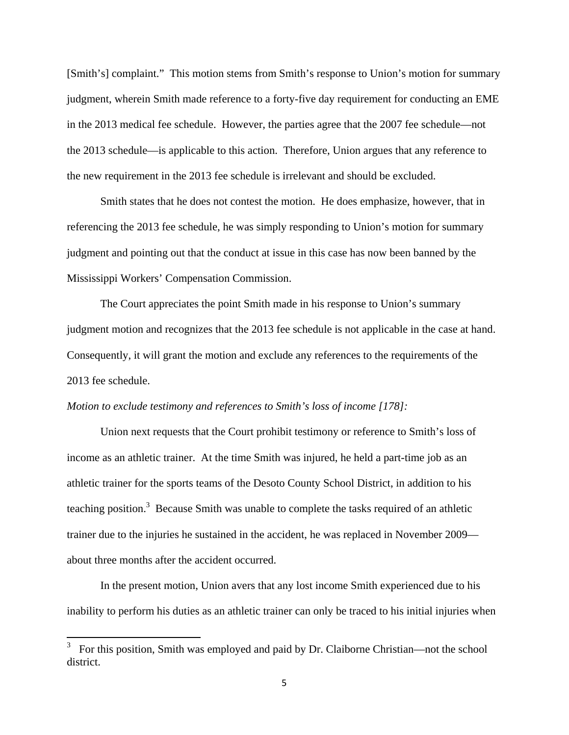[Smith's] complaint." This motion stems from Smith's response to Union's motion for summary judgment, wherein Smith made reference to a forty-five day requirement for conducting an EME in the 2013 medical fee schedule. However, the parties agree that the 2007 fee schedule—not the 2013 schedule—is applicable to this action. Therefore, Union argues that any reference to the new requirement in the 2013 fee schedule is irrelevant and should be excluded.

 Smith states that he does not contest the motion. He does emphasize, however, that in referencing the 2013 fee schedule, he was simply responding to Union's motion for summary judgment and pointing out that the conduct at issue in this case has now been banned by the Mississippi Workers' Compensation Commission.

 The Court appreciates the point Smith made in his response to Union's summary judgment motion and recognizes that the 2013 fee schedule is not applicable in the case at hand. Consequently, it will grant the motion and exclude any references to the requirements of the 2013 fee schedule.

### *Motion to exclude testimony and references to Smith's loss of income [178]:*

 Union next requests that the Court prohibit testimony or reference to Smith's loss of income as an athletic trainer. At the time Smith was injured, he held a part-time job as an athletic trainer for the sports teams of the Desoto County School District, in addition to his teaching position.<sup>3</sup> Because Smith was unable to complete the tasks required of an athletic trainer due to the injuries he sustained in the accident, he was replaced in November 2009 about three months after the accident occurred.

 In the present motion, Union avers that any lost income Smith experienced due to his inability to perform his duties as an athletic trainer can only be traced to his initial injuries when

<sup>&</sup>lt;sup>3</sup> For this position, Smith was employed and paid by Dr. Claiborne Christian—not the school district.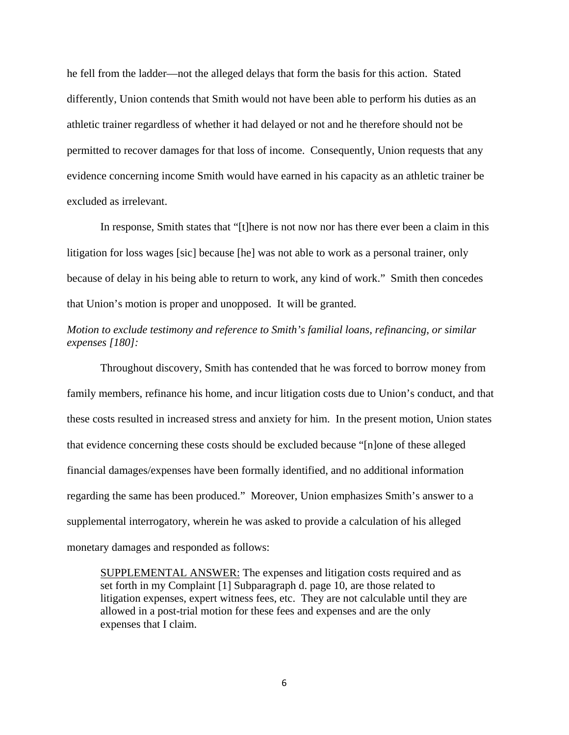he fell from the ladder—not the alleged delays that form the basis for this action. Stated differently, Union contends that Smith would not have been able to perform his duties as an athletic trainer regardless of whether it had delayed or not and he therefore should not be permitted to recover damages for that loss of income. Consequently, Union requests that any evidence concerning income Smith would have earned in his capacity as an athletic trainer be excluded as irrelevant.

 In response, Smith states that "[t]here is not now nor has there ever been a claim in this litigation for loss wages [sic] because [he] was not able to work as a personal trainer, only because of delay in his being able to return to work, any kind of work." Smith then concedes that Union's motion is proper and unopposed. It will be granted.

# *Motion to exclude testimony and reference to Smith's familial loans, refinancing, or similar expenses [180]:*

 Throughout discovery, Smith has contended that he was forced to borrow money from family members, refinance his home, and incur litigation costs due to Union's conduct, and that these costs resulted in increased stress and anxiety for him. In the present motion, Union states that evidence concerning these costs should be excluded because "[n]one of these alleged financial damages/expenses have been formally identified, and no additional information regarding the same has been produced." Moreover, Union emphasizes Smith's answer to a supplemental interrogatory, wherein he was asked to provide a calculation of his alleged monetary damages and responded as follows:

SUPPLEMENTAL ANSWER: The expenses and litigation costs required and as set forth in my Complaint [1] Subparagraph d. page 10, are those related to litigation expenses, expert witness fees, etc. They are not calculable until they are allowed in a post-trial motion for these fees and expenses and are the only expenses that I claim.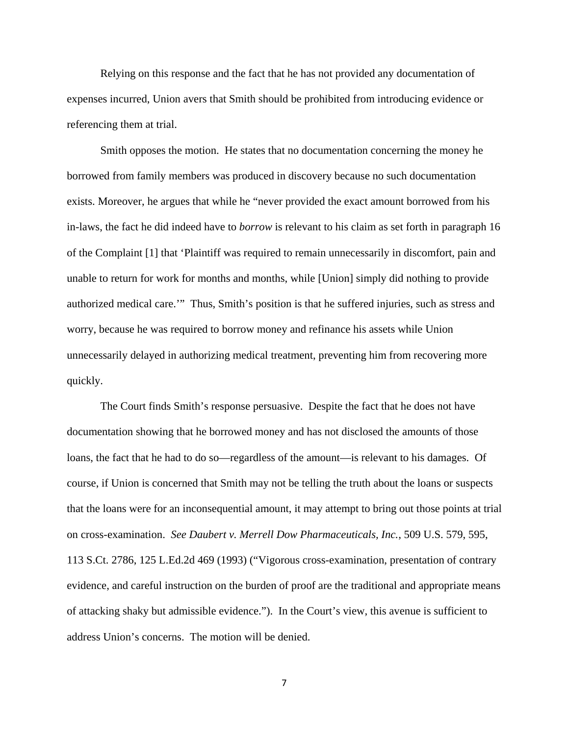Relying on this response and the fact that he has not provided any documentation of expenses incurred, Union avers that Smith should be prohibited from introducing evidence or referencing them at trial.

 Smith opposes the motion. He states that no documentation concerning the money he borrowed from family members was produced in discovery because no such documentation exists. Moreover, he argues that while he "never provided the exact amount borrowed from his in-laws, the fact he did indeed have to *borrow* is relevant to his claim as set forth in paragraph 16 of the Complaint [1] that 'Plaintiff was required to remain unnecessarily in discomfort, pain and unable to return for work for months and months, while [Union] simply did nothing to provide authorized medical care.'" Thus, Smith's position is that he suffered injuries, such as stress and worry, because he was required to borrow money and refinance his assets while Union unnecessarily delayed in authorizing medical treatment, preventing him from recovering more quickly.

 The Court finds Smith's response persuasive. Despite the fact that he does not have documentation showing that he borrowed money and has not disclosed the amounts of those loans, the fact that he had to do so—regardless of the amount—is relevant to his damages. Of course, if Union is concerned that Smith may not be telling the truth about the loans or suspects that the loans were for an inconsequential amount, it may attempt to bring out those points at trial on cross-examination. *See Daubert v. Merrell Dow Pharmaceuticals, Inc.*, 509 U.S. 579, 595, 113 S.Ct. 2786, 125 L.Ed.2d 469 (1993) ("Vigorous cross-examination, presentation of contrary evidence, and careful instruction on the burden of proof are the traditional and appropriate means of attacking shaky but admissible evidence."). In the Court's view, this avenue is sufficient to address Union's concerns. The motion will be denied.

7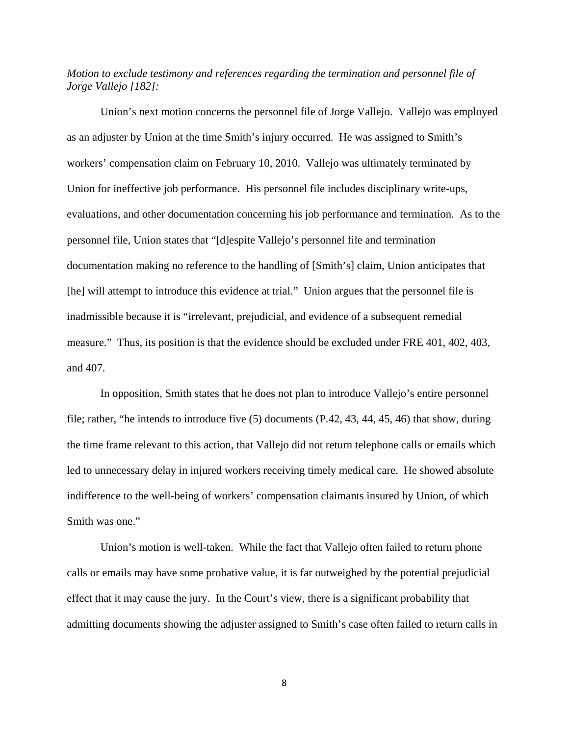# *Motion to exclude testimony and references regarding the termination and personnel file of Jorge Vallejo [182]:*

Union's next motion concerns the personnel file of Jorge Vallejo. Vallejo was employed as an adjuster by Union at the time Smith's injury occurred. He was assigned to Smith's workers' compensation claim on February 10, 2010. Vallejo was ultimately terminated by Union for ineffective job performance. His personnel file includes disciplinary write-ups, evaluations, and other documentation concerning his job performance and termination. As to the personnel file, Union states that "[d]espite Vallejo's personnel file and termination documentation making no reference to the handling of [Smith's] claim, Union anticipates that [he] will attempt to introduce this evidence at trial." Union argues that the personnel file is inadmissible because it is "irrelevant, prejudicial, and evidence of a subsequent remedial measure." Thus, its position is that the evidence should be excluded under FRE 401, 402, 403, and 407.

 In opposition, Smith states that he does not plan to introduce Vallejo's entire personnel file; rather, "he intends to introduce five (5) documents (P.42, 43, 44, 45, 46) that show, during the time frame relevant to this action, that Vallejo did not return telephone calls or emails which led to unnecessary delay in injured workers receiving timely medical care. He showed absolute indifference to the well-being of workers' compensation claimants insured by Union, of which Smith was one."

 Union's motion is well-taken. While the fact that Vallejo often failed to return phone calls or emails may have some probative value, it is far outweighed by the potential prejudicial effect that it may cause the jury. In the Court's view, there is a significant probability that admitting documents showing the adjuster assigned to Smith's case often failed to return calls in

8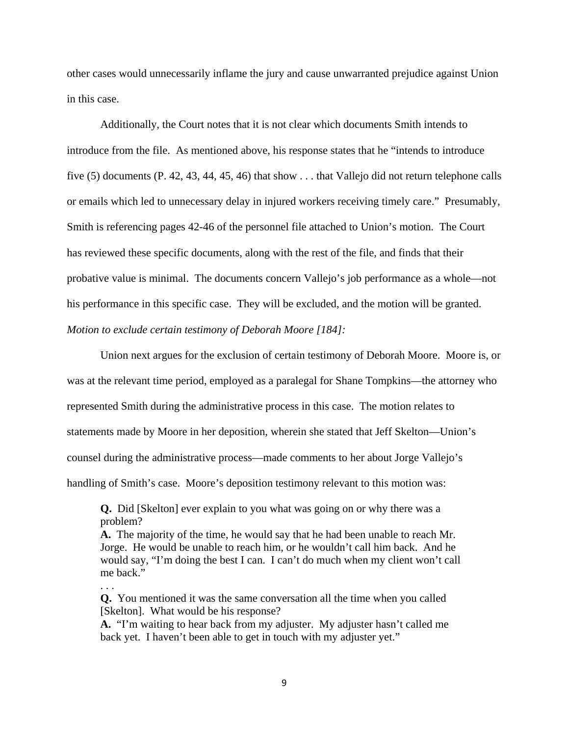other cases would unnecessarily inflame the jury and cause unwarranted prejudice against Union in this case.

Additionally, the Court notes that it is not clear which documents Smith intends to introduce from the file. As mentioned above, his response states that he "intends to introduce five (5) documents (P. 42, 43, 44, 45, 46) that show . . . that Vallejo did not return telephone calls or emails which led to unnecessary delay in injured workers receiving timely care." Presumably, Smith is referencing pages 42-46 of the personnel file attached to Union's motion. The Court has reviewed these specific documents, along with the rest of the file, and finds that their probative value is minimal. The documents concern Vallejo's job performance as a whole—not his performance in this specific case. They will be excluded, and the motion will be granted. *Motion to exclude certain testimony of Deborah Moore [184]:* 

 Union next argues for the exclusion of certain testimony of Deborah Moore. Moore is, or was at the relevant time period, employed as a paralegal for Shane Tompkins—the attorney who represented Smith during the administrative process in this case. The motion relates to statements made by Moore in her deposition, wherein she stated that Jeff Skelton—Union's counsel during the administrative process—made comments to her about Jorge Vallejo's handling of Smith's case. Moore's deposition testimony relevant to this motion was:

**Q.** Did [Skelton] ever explain to you what was going on or why there was a problem?

**A.** The majority of the time, he would say that he had been unable to reach Mr. Jorge. He would be unable to reach him, or he wouldn't call him back. And he would say, "I'm doing the best I can. I can't do much when my client won't call me back."

**Q.** You mentioned it was the same conversation all the time when you called [Skelton]. What would be his response?

. . .

**A.** "I'm waiting to hear back from my adjuster. My adjuster hasn't called me back yet. I haven't been able to get in touch with my adjuster yet."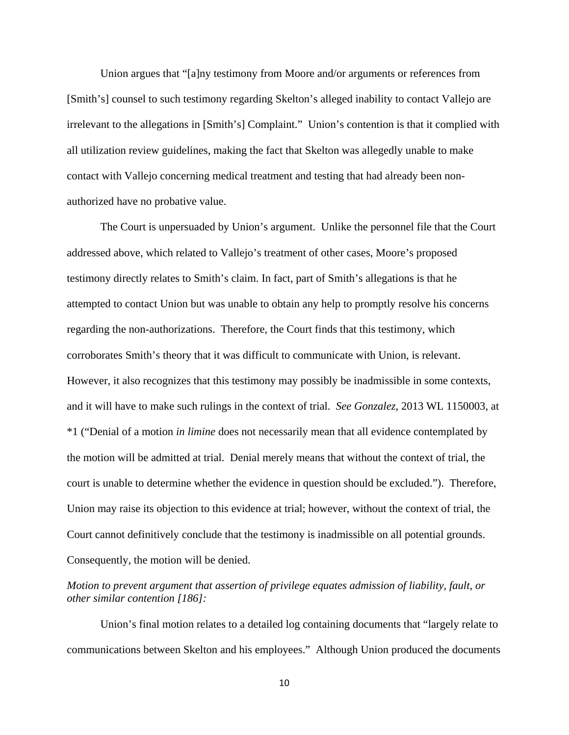Union argues that "[a]ny testimony from Moore and/or arguments or references from [Smith's] counsel to such testimony regarding Skelton's alleged inability to contact Vallejo are irrelevant to the allegations in [Smith's] Complaint." Union's contention is that it complied with all utilization review guidelines, making the fact that Skelton was allegedly unable to make contact with Vallejo concerning medical treatment and testing that had already been nonauthorized have no probative value.

The Court is unpersuaded by Union's argument. Unlike the personnel file that the Court addressed above, which related to Vallejo's treatment of other cases, Moore's proposed testimony directly relates to Smith's claim. In fact, part of Smith's allegations is that he attempted to contact Union but was unable to obtain any help to promptly resolve his concerns regarding the non-authorizations. Therefore, the Court finds that this testimony, which corroborates Smith's theory that it was difficult to communicate with Union, is relevant. However, it also recognizes that this testimony may possibly be inadmissible in some contexts, and it will have to make such rulings in the context of trial. *See Gonzalez*, 2013 WL 1150003, at \*1 ("Denial of a motion *in limine* does not necessarily mean that all evidence contemplated by the motion will be admitted at trial. Denial merely means that without the context of trial, the court is unable to determine whether the evidence in question should be excluded."). Therefore, Union may raise its objection to this evidence at trial; however, without the context of trial, the Court cannot definitively conclude that the testimony is inadmissible on all potential grounds. Consequently, the motion will be denied.

# *Motion to prevent argument that assertion of privilege equates admission of liability, fault, or other similar contention [186]:*

 Union's final motion relates to a detailed log containing documents that "largely relate to communications between Skelton and his employees." Although Union produced the documents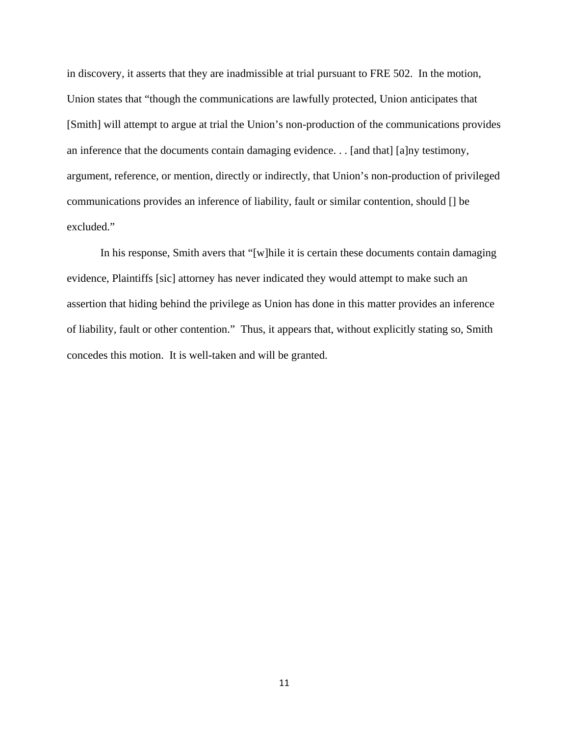in discovery, it asserts that they are inadmissible at trial pursuant to FRE 502. In the motion, Union states that "though the communications are lawfully protected, Union anticipates that [Smith] will attempt to argue at trial the Union's non-production of the communications provides an inference that the documents contain damaging evidence. . . [and that] [a]ny testimony, argument, reference, or mention, directly or indirectly, that Union's non-production of privileged communications provides an inference of liability, fault or similar contention, should [] be excluded."

 In his response, Smith avers that "[w]hile it is certain these documents contain damaging evidence, Plaintiffs [sic] attorney has never indicated they would attempt to make such an assertion that hiding behind the privilege as Union has done in this matter provides an inference of liability, fault or other contention." Thus, it appears that, without explicitly stating so, Smith concedes this motion. It is well-taken and will be granted.